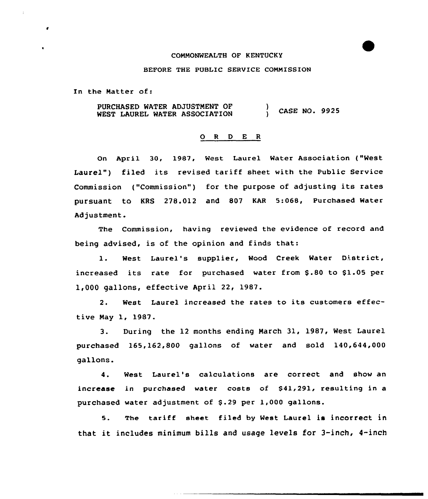#### COMMONWEALTH OF KENTUCKY

### BEFORE THE PUBLIC SERVICE COHNISSION

In the Hatter of:

PURCHASED WATER ADJUSTMENT OF WEST LAUREL WATER ASSOCIATION ) CASE NO. 9925

### O R D E R

On April 30, 1987, West Laurel Water Association ("West Laurel") filed its revised tariff sheet with the Public Service Commission ("Commission") for the purpose of adjusting its rates pursuant to KRS 278.012 and 807 KAR 5:068, Purchased Mater Adjustment.

The Commission, having reviewed the evidence of record and being advised, is of the opinion and finds that:

1. West Laurel's supplier, Wood Creek Water District, increased its rate for purchased water from \$.80 to \$1.05 per 1,000 gallons, effective April 22, 1987.

2. West Laurel increased the rates to its customers effective Hay 1, 1987.

3. During the 12 months ending Narch 31, 1987, West Laurel purchased 165,162,800 gallons of water and sold 140,644,000 gallons.

4. West Laurel's calculations are correct and show an increase in purchased water costs of  $$41,291$ , resulting in a purchased water adjustment of \$.29 per 1,000 gallons.

5. The tariff sheet filed by West Laurel is incorrect in that it includes minimum bills and usage levels for 3-inch, 4-inch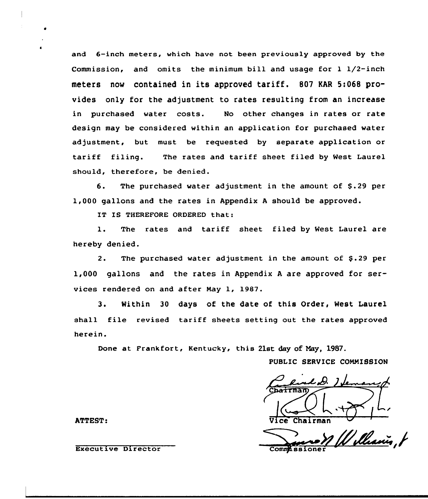and 6-inch meters, which have not been previously approved by the Commission, and omits the minimum bill and usage for  $1 \frac{1}{2}$ -inch meters now contained in its approved tariff. <sup>807</sup> KAR 5:068 provides only for the adjustment to rates resulting from an increase in purchased water costs. No other changes in rates or rate design may be considered within an application for purchased water adjustment, but must be requested by separate application or tariff filing. The rates and tariff sheet filed by West Laurel should, therefore, be denied.

6. The purchased water adjustment in the amount of \$.29 per 1,000 gallons and the rates in Appendix <sup>A</sup> should be approved.

IT IS THEREFORE ORDERED that:

1. The rates and tariff sheet filed by West Laurel are hereby denied.

2. The purchased water adjustment in the amount of \$.29 per 1,000 gallons and the rates in Appendix <sup>A</sup> are approved for services rendered on and after Nay 1, 1987.

3. Within 30 days of the date of this Order, West Laurel shall file revised tariff sheets setting out the rates approved herein.

Done at Frankfort, Kentucky, this 21st day of May, 1987.

PUBLIC SERVICE COMMISSION

C **vairman** 

ATTEST: Vice Chairman Chairman Chairman Chairman Chairman Chairman Chairman Chairman Chairman Chairman Chairma

Williamis, t Commissioner

Executive Director